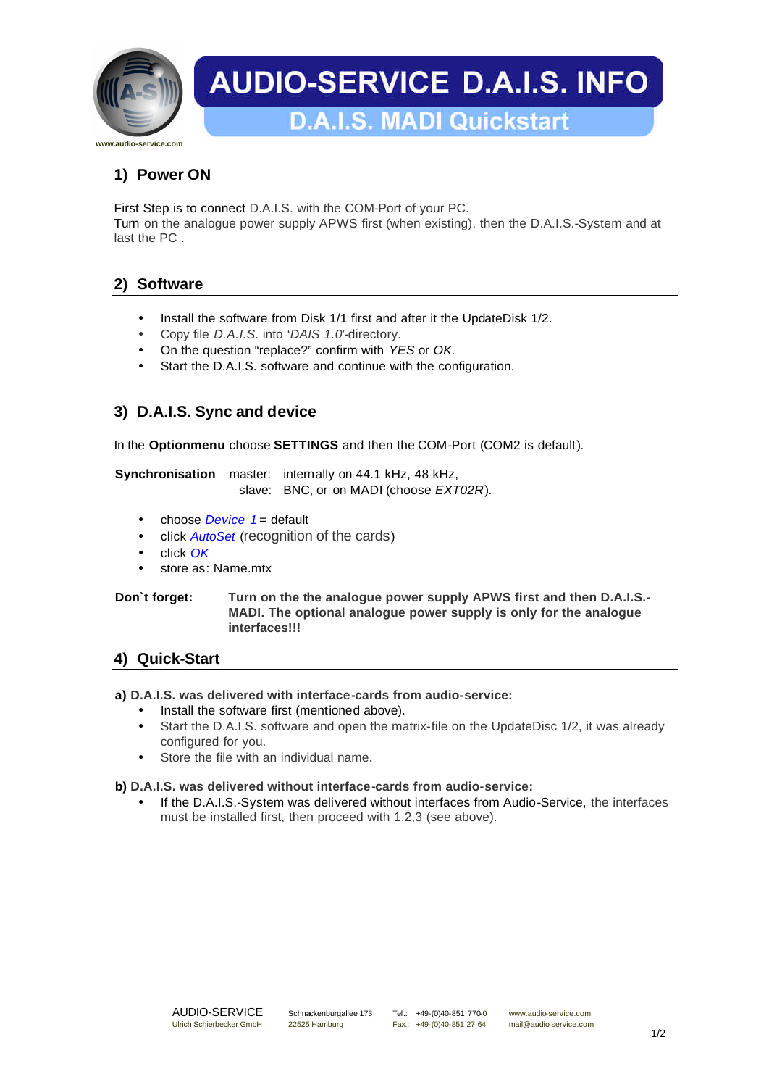

# **AUDIO-SERVICE D.A.I.S. INFO**

## **1) Power ON**

First Step is to connect D.A.I.S. with the COM-Port of your PC.

Turn on the analogue power supply APWS first (when existing), then the D.A.I.S.-System and at last the PC .

## **2) Software**

- Install the software from Disk 1/1 first and after it the UpdateDisk 1/2.
- Copy file *D.A.I.S.* into '*DAIS 1.0'*-directory.
- On the question "replace?" confirm with *YES* or *OK.*
- Start the D.A.I.S. software and continue with the configuration.

## **3) D.A.I.S. Sync and device**

In the **Optionmenu** choose **SETTINGS** and then the COM-Port (COM2 is default).

**Synchronisation** master: internally on 44.1 kHz, 48 kHz, slave: BNC, or on MADI (choose *EXT02R*).

- choose *Device* 1 = default
- click *AutoSet* (recognition of the cards)
- click *OK*
- store as: Name.mtx

#### **Don`t forget: Turn on the the analogue power supply APWS first and then D.A.I.S.- MADI. The optional analogue power supply is only for the analogue interfaces!!!**

### **4) Quick-Start**

**a) D.A.I.S. was delivered with interface-cards from audio-service:**

- Install the software first (mentioned above).
- Start the D.A.I.S. software and open the matrix-file on the UpdateDisc 1/2, it was already configured for you.
- Store the file with an individual name.

#### **b) D.A.I.S. was delivered without interface-cards from audio-service:**

• If the D.A.I.S.-System was delivered without interfaces from Audio-Service, the interfaces must be installed first, then proceed with 1,2,3 (see above).